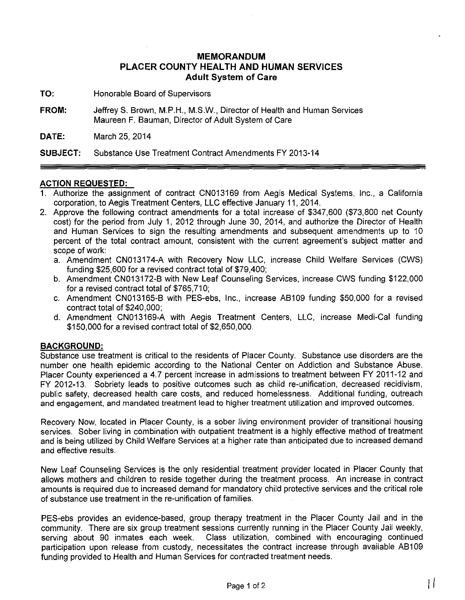## **MEMORANDUM PLACER COUNTY HEALTH AND HUMAN SERVICES Adult System of Care**

**TO:** Honorable Board of Supervisors

**FROM:** JeffreyS. Brown, M.P.H., M.S.W., Director of Health and Human Services Maureen F. Bauman, Director of Adult System of Care

**DATE:** March 25, 2014

**SUBJECT:** Substance Use Treatment Contract Amendments FY 2013-14

## **ACTION REQUESTED:**

- 1. Authorize the assignment of contract CN013169 from Aegis Medical Systems, Inc., a California corporation, to Aegis Treatment Centers, LLC effective January 11, 2014.
- 2. Approve the following contract amendments for a total increase of \$347,600 (\$73,800 net County cost) for the period from July 1, 2012 through June 30, 2014, and authorize the Director of Health and Human Services to sign the resulting amendments and subsequent amendments up to 10 percent of the total contract amount, consistent with the current agreement's subject matter and scope of work:
	- a. Amendment CN013174-A with Recovery Now LLC, increase Child Welfare Services (CWS) funding \$25,600 for a revised contract total of \$79,400;
	- b. Amendment CN013172-B with New Leaf Counseling Services, increase CWS funding \$122,000 for a revised contract total of \$765,710;
	- c. Amendment CN013165-B with PES-ebs, Inc., increase AB1 09 funding \$50,000 for a revised contract total of \$240,000;
	- d. Amendment CN013169-A with Aegis Treatment Centers, LLC, increase Medi-Cal funding \$150,000 for a revised contract total of \$2,650,000.

## **BACKGROUND:**

Substance use treatment is critical to the residents of Placer County. Substance use disorders are the number one health epidemic according to the National Center on Addiction and Substance Abuse. Placer County experienced a 4.7 percent increase in admissions to treatment between FY 2011-12 and FY 2012-13. Sobriety leads to positive outcomes such as child re-unification, decreased recidivism, public safety, decreased health care costs, and reduced homelessness. Additional funding, outreach and engagement, and mandated treatment lead to higher treatment utilization and improved outcomes.

Recovery Now, located in Placer County, is a sober living environment provider of transitional housing services. Sober living in combination with outpatient treatment is a highly effective method of treatment and is being utilized by Child Welfare Services at a higher rate than anticipated due to increased demand and effective results.

New Leaf Counseling Services is the only residential treatment provider located in Placer County that allows mothers and children to reside together during the treatment process. An increase in contract amounts is required due to increased demand for mandatory child protective services and the critical role of substance use treatment in the re-unification of families.

PES-ebs provides an evidence-based, group therapy treatment in the Placer County Jail and in the community. There are six group treatment sessions currently running in the Placer County Jail weekly, serving about 90 inmates each week. Class utilization, combined with encouraging continued participation upon release from custody, necessitates the contract increase through available AB109 funding provided to Health and Human Services for contracted treatment needs.